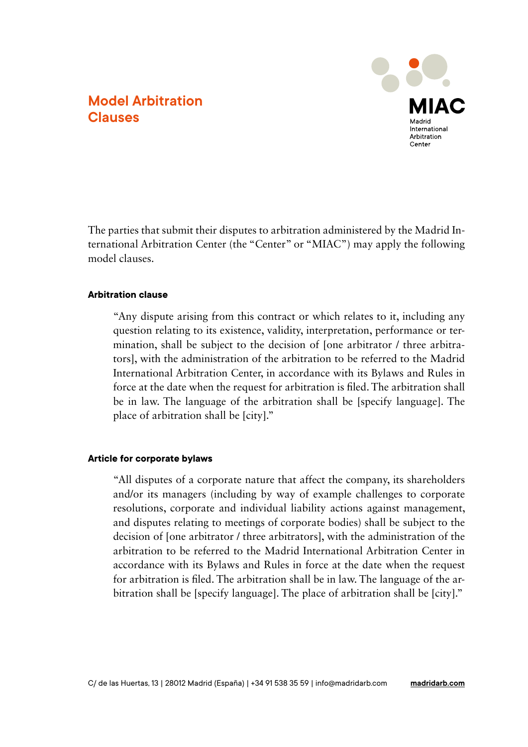## **Model Arbitration Clauses**



The parties that submit their disputes to arbitration administered by the Madrid International Arbitration Center (the "Center" or "MIAC") may apply the following model clauses.

## **Arbitration clause**

"Any dispute arising from this contract or which relates to it, including any question relating to its existence, validity, interpretation, performance or termination, shall be subject to the decision of [one arbitrator / three arbitrators], with the administration of the arbitration to be referred to the Madrid International Arbitration Center, in accordance with its Bylaws and Rules in force at the date when the request for arbitration is filed. The arbitration shall be in law. The language of the arbitration shall be [specify language]. The place of arbitration shall be [city]."

### **Article for corporate bylaws**

"All disputes of a corporate nature that affect the company, its shareholders and/or its managers (including by way of example challenges to corporate resolutions, corporate and individual liability actions against management, and disputes relating to meetings of corporate bodies) shall be subject to the decision of [one arbitrator / three arbitrators], with the administration of the arbitration to be referred to the Madrid International Arbitration Center in accordance with its Bylaws and Rules in force at the date when the request for arbitration is filed. The arbitration shall be in law. The language of the arbitration shall be [specify language]. The place of arbitration shall be [city]."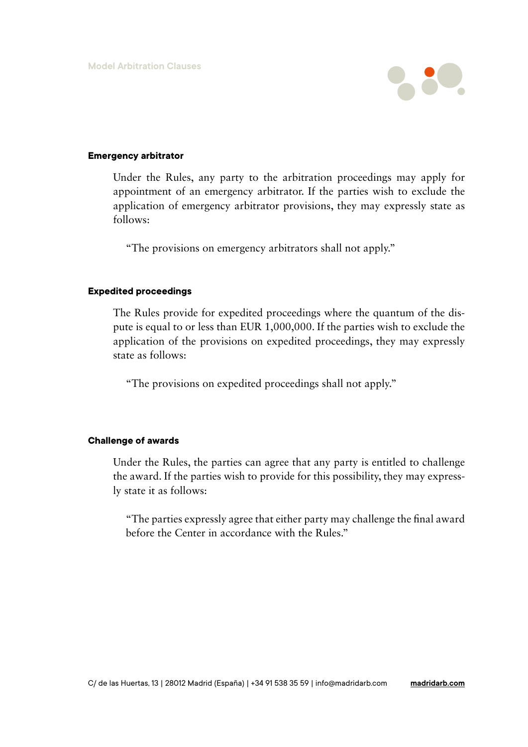

### **Emergency arbitrator**

Under the Rules, any party to the arbitration proceedings may apply for appointment of an emergency arbitrator. If the parties wish to exclude the application of emergency arbitrator provisions, they may expressly state as follows:

"The provisions on emergency arbitrators shall not apply."

### **Expedited proceedings**

The Rules provide for expedited proceedings where the quantum of the dispute is equal to or less than EUR 1,000,000. If the parties wish to exclude the application of the provisions on expedited proceedings, they may expressly state as follows:

"The provisions on expedited proceedings shall not apply."

## **Challenge of awards**

Under the Rules, the parties can agree that any party is entitled to challenge the award. If the parties wish to provide for this possibility, they may expressly state it as follows:

"The parties expressly agree that either party may challenge the final award before the Center in accordance with the Rules."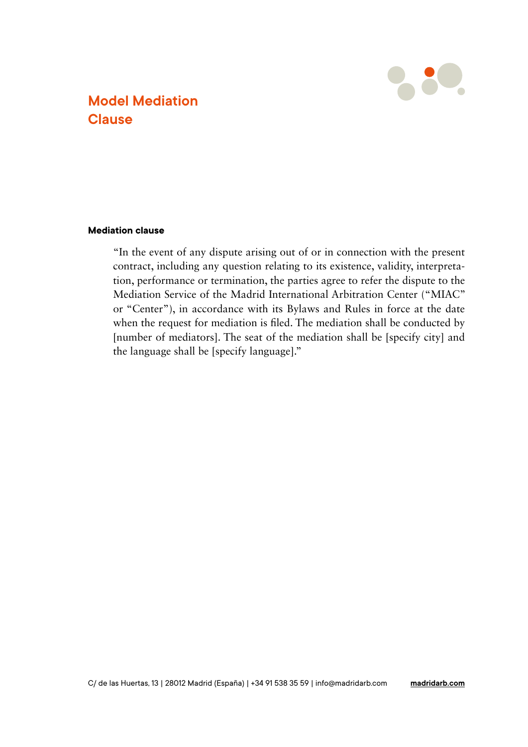

# **Model Mediation Clause**

## **Mediation clause**

"In the event of any dispute arising out of or in connection with the present contract, including any question relating to its existence, validity, interpretation, performance or termination, the parties agree to refer the dispute to the Mediation Service of the Madrid International Arbitration Center ("MIAC" or "Center"), in accordance with its Bylaws and Rules in force at the date when the request for mediation is filed. The mediation shall be conducted by [number of mediators]. The seat of the mediation shall be [specify city] and the language shall be [specify language]."